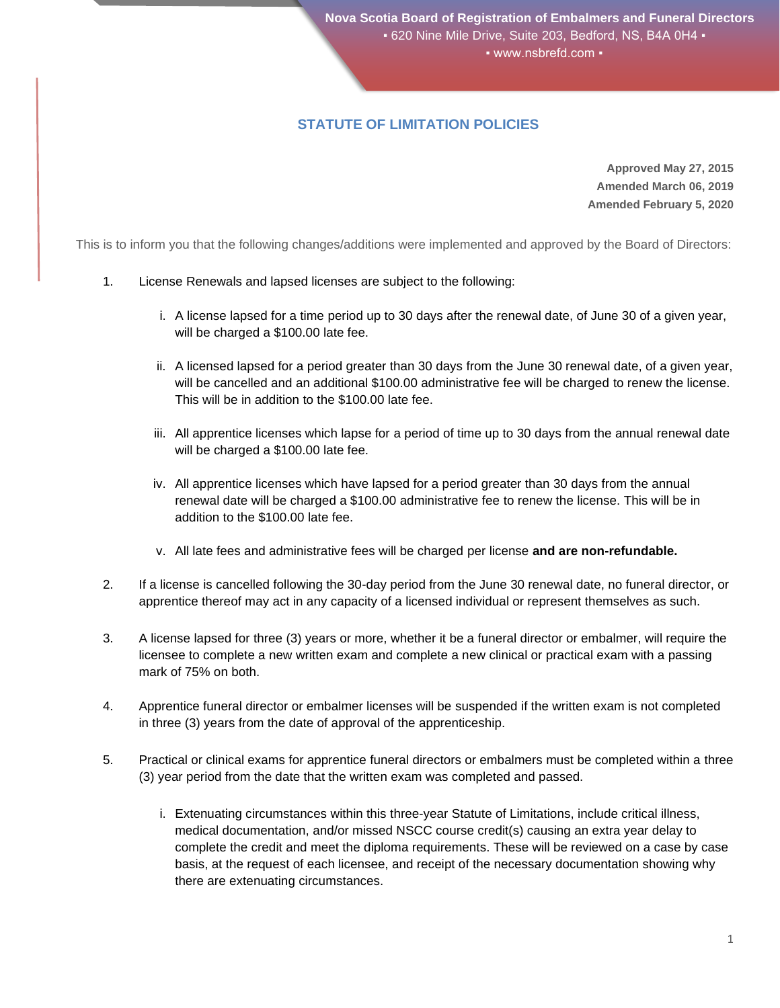## **STATUTE OF LIMITATION POLICIES**

**Approved May 27, 2015 Amended March 06, 2019 Amended February 5, 2020**

This is to inform you that the following changes/additions were implemented and approved by the Board of Directors:

- 1. License Renewals and lapsed licenses are subject to the following:
	- i. A license lapsed for a time period up to 30 days after the renewal date, of June 30 of a given year, will be charged a \$100.00 late fee.
	- ii. A licensed lapsed for a period greater than 30 days from the June 30 renewal date, of a given year, will be cancelled and an additional \$100.00 administrative fee will be charged to renew the license. This will be in addition to the \$100.00 late fee.
	- iii. All apprentice licenses which lapse for a period of time up to 30 days from the annual renewal date will be charged a \$100.00 late fee.
	- iv. All apprentice licenses which have lapsed for a period greater than 30 days from the annual renewal date will be charged a \$100.00 administrative fee to renew the license. This will be in addition to the \$100.00 late fee.
	- v. All late fees and administrative fees will be charged per license **and are non-refundable.**
- 2. If a license is cancelled following the 30-day period from the June 30 renewal date, no funeral director, or apprentice thereof may act in any capacity of a licensed individual or represent themselves as such.
- 3. A license lapsed for three (3) years or more, whether it be a funeral director or embalmer, will require the licensee to complete a new written exam and complete a new clinical or practical exam with a passing mark of 75% on both.
- 4. Apprentice funeral director or embalmer licenses will be suspended if the written exam is not completed in three (3) years from the date of approval of the apprenticeship.
- 5. Practical or clinical exams for apprentice funeral directors or embalmers must be completed within a three (3) year period from the date that the written exam was completed and passed.
	- i. Extenuating circumstances within this three-year Statute of Limitations, include critical illness, medical documentation, and/or missed NSCC course credit(s) causing an extra year delay to complete the credit and meet the diploma requirements. These will be reviewed on a case by case basis, at the request of each licensee, and receipt of the necessary documentation showing why there are extenuating circumstances.